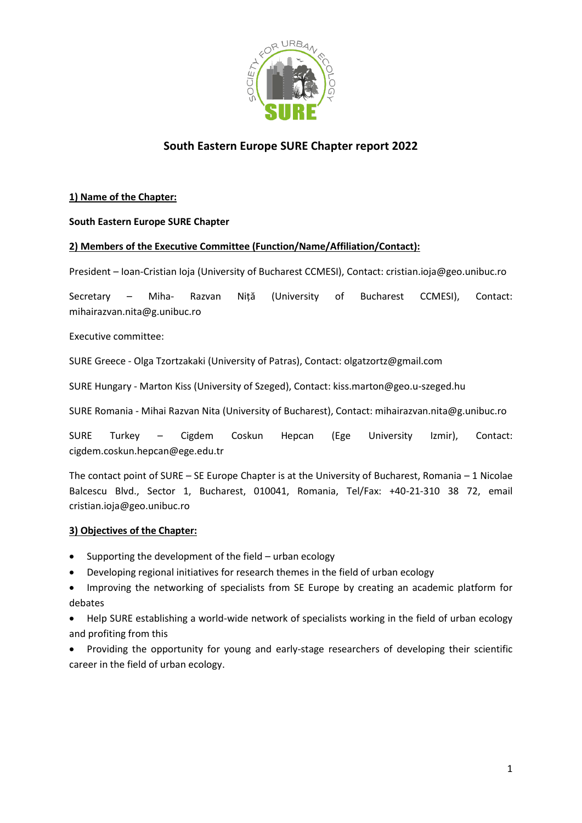

# **South Eastern Europe SURE Chapter report 2022**

#### **1) Name of the Chapter:**

#### **South Eastern Europe SURE Chapter**

#### **2) Members of the Executive Committee (Function/Name/Affiliation/Contact):**

President – Ioan-Cristian Ioja (University of Bucharest CCMESI), Contact: cristian.ioja@geo.unibuc.ro

Secretary – Miha- Razvan Niță (University of Bucharest CCMESI), Contact: mihairazvan.nita@g.unibuc.ro

Executive committee:

SURE Greece - Olga Tzortzakaki (University of Patras), Contact: olgatzortz@gmail.com

SURE Hungary - Marton Kiss (University of Szeged), Contact: kiss.marton@geo.u-szeged.hu

SURE Romania - Mihai Razvan Nita (University of Bucharest), Contact: mihairazvan.nita@g.unibuc.ro

SURE Turkey – Cigdem Coskun Hepcan (Ege University Izmir), Contact: cigdem.coskun.hepcan@ege.edu.tr

The contact point of SURE – SE Europe Chapter is at the University of Bucharest, Romania – 1 Nicolae Balcescu Blvd., Sector 1, Bucharest, 010041, Romania, Tel/Fax: +40-21-310 38 72, email cristian.ioja@geo.unibuc.ro

## **3) Objectives of the Chapter:**

- Supporting the development of the field urban ecology
- Developing regional initiatives for research themes in the field of urban ecology
- Improving the networking of specialists from SE Europe by creating an academic platform for debates

• Help SURE establishing a world-wide network of specialists working in the field of urban ecology and profiting from this

• Providing the opportunity for young and early-stage researchers of developing their scientific career in the field of urban ecology.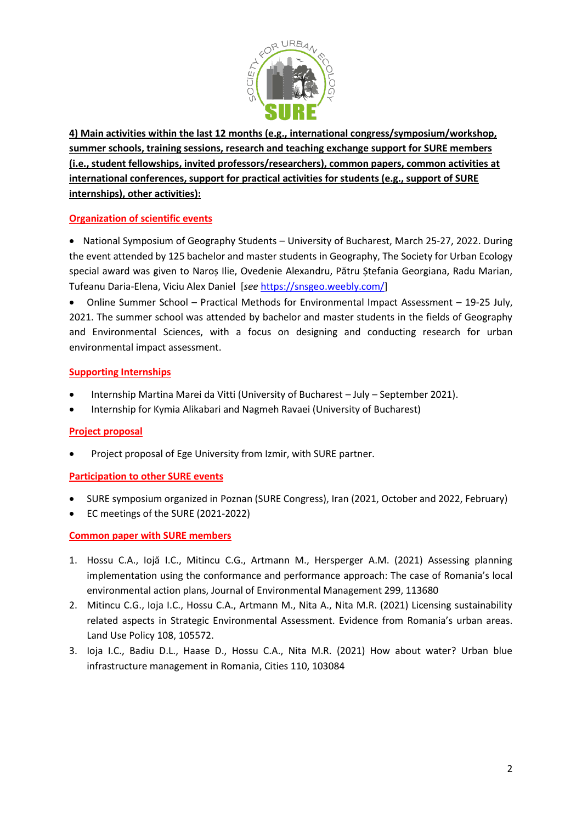

**4) Main activities within the last 12 months (e.g., international congress/symposium/workshop, summer schools, training sessions, research and teaching exchange support for SURE members (i.e., student fellowships, invited professors/researchers), common papers, common activities at international conferences, support for practical activities for students (e.g., support of SURE internships), other activities):**

## **Organization of scientific events**

• National Symposium of Geography Students – University of Bucharest, March 25-27, 2022. During the event attended by 125 bachelor and master students in Geography, The Society for Urban Ecology special award was given to Naroș Ilie, Ovedenie Alexandru, Pătru Ștefania Georgiana, Radu Marian, Tufeanu Daria-Elena, Viciu Alex Daniel [*see* [https://snsgeo.weebly.com/\]](https://snsgeo.weebly.com/)

• Online Summer School – Practical Methods for Environmental Impact Assessment – 19-25 July, 2021. The summer school was attended by bachelor and master students in the fields of Geography and Environmental Sciences, with a focus on designing and conducting research for urban environmental impact assessment.

## **Supporting Internships**

- Internship Martina Marei da Vitti (University of Bucharest July September 2021).
- Internship for Kymia Alikabari and Nagmeh Ravaei (University of Bucharest)

## **Project proposal**

• Project proposal of Ege University from Izmir, with SURE partner.

## **Participation to other SURE events**

- SURE symposium organized in Poznan (SURE Congress), Iran (2021, October and 2022, February)
- EC meetings of the SURE (2021-2022)

## **Common paper with SURE members**

- 1. Hossu C.A., Iojă I.C., Mitincu C.G., Artmann M., Hersperger A.M. (2021) Assessing planning implementation using the conformance and performance approach: The case of Romania's local environmental action plans, Journal of Environmental Management 299, 113680
- 2. Mitincu C.G., Ioja I.C., Hossu C.A., Artmann M., Nita A., Nita M.R. (2021) Licensing sustainability related aspects in Strategic Environmental Assessment. Evidence from Romania's urban areas. Land Use Policy 108, 105572.
- 3. Ioja I.C., Badiu D.L., Haase D., Hossu C.A., Nita M.R. (2021) How about water? Urban blue infrastructure management in Romania, Cities 110, 103084